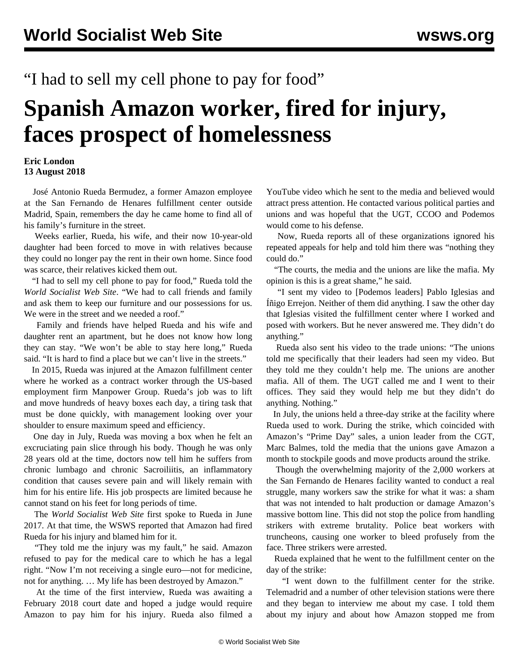## "I had to sell my cell phone to pay for food"

## **Spanish Amazon worker, fired for injury, faces prospect of homelessness**

## **Eric London 13 August 2018**

 José Antonio Rueda Bermudez, a former Amazon employee at the San Fernando de Henares fulfillment center outside Madrid, Spain, remembers the day he came home to find all of his family's furniture in the street.

 Weeks earlier, Rueda, his wife, and their now 10-year-old daughter had been forced to move in with relatives because they could no longer pay the rent in their own home. Since food was scarce, their relatives kicked them out.

 "I had to sell my cell phone to pay for food," Rueda told the *World Socialist Web Site*. "We had to call friends and family and ask them to keep our furniture and our possessions for us. We were in the street and we needed a roof."

 Family and friends have helped Rueda and his wife and daughter rent an apartment, but he does not know how long they can stay. "We won't be able to stay here long," Rueda said. "It is hard to find a place but we can't live in the streets."

 In 2015, Rueda was injured at the Amazon fulfillment center where he worked as a contract worker through the US-based employment firm Manpower Group. Rueda's job was to lift and move hundreds of heavy boxes each day, a tiring task that must be done quickly, with management looking over your shoulder to ensure maximum speed and efficiency.

 One day in July, Rueda was moving a box when he felt an excruciating pain slice through his body. Though he was only 28 years old at the time, doctors now tell him he suffers from chronic lumbago and chronic Sacroiliitis, an inflammatory condition that causes severe pain and will likely remain with him for his entire life. His job prospects are limited because he cannot stand on his feet for long periods of time.

 The *World Socialist Web Site* first [spoke](/en/articles/2017/06/02/spai-j02.html) to Rueda in June 2017. At that time, the WSWS reported that Amazon had fired Rueda for his injury and blamed him for it.

 "They told me the injury was my fault," he said. Amazon refused to pay for the medical care to which he has a legal right. "Now I'm not receiving a single euro—not for medicine, not for anything. … My life has been destroyed by Amazon."

 At the time of the first interview, Rueda was awaiting a February 2018 court date and hoped a judge would require Amazon to pay him for his injury. Rueda also filmed a

YouTube video which he sent to the media and believed would attract press attention. He contacted various political parties and unions and was hopeful that the UGT, CCOO and Podemos would come to his defense.

 Now, Rueda reports all of these organizations ignored his repeated appeals for help and told him there was "nothing they could do."

 "The courts, the media and the unions are like the mafia. My opinion is this is a great shame," he said.

 "I sent my video to [Podemos leaders] Pablo Iglesias and Íñigo Errejon. Neither of them did anything. I saw the other day that Iglesias visited the fulfillment center where I worked and posed with workers. But he never answered me. They didn't do anything."

 Rueda also sent his video to the trade unions: "The unions told me specifically that their leaders had seen my video. But they told me they couldn't help me. The unions are another mafia. All of them. The UGT called me and I went to their offices. They said they would help me but they didn't do anything. Nothing."

 In July, the unions held a three-day strike at the facility where Rueda used to work. During the strike, which coincided with Amazon's "Prime Day" sales, a union leader from the CGT, Marc Balmes, told the media that the unions gave Amazon a month to stockpile goods and move products around the strike.

 Though the overwhelming majority of the 2,000 workers at the San Fernando de Henares facility wanted to conduct a real struggle, many workers saw the strike for what it was: a sham that was not intended to halt production or damage Amazon's massive bottom line. This did not stop the police from handling strikers with extreme brutality. Police beat workers with truncheons, causing one worker to bleed profusely from the face. Three strikers were arrested.

 Rueda explained that he went to the fulfillment center on the day of the strike:

 "I went down to the fulfillment center for the strike. Telemadrid and a number of other television stations were there and they began to interview me about my case. I told them about my injury and about how Amazon stopped me from